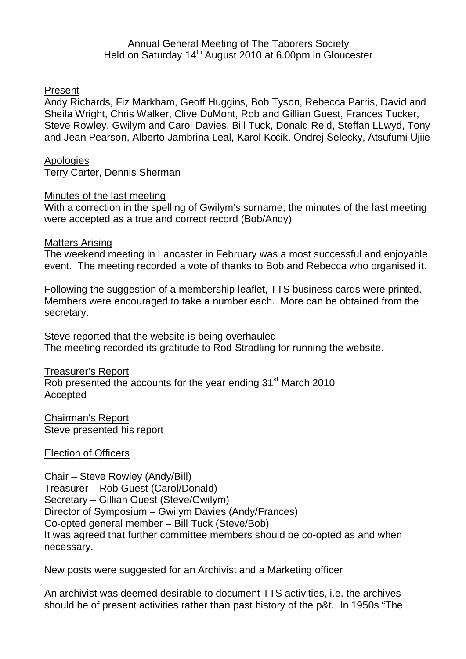# Annual General Meeting of The Taborers Society Held on Saturday 14<sup>th</sup> August 2010 at 6.00pm in Gloucester

# Present

Andy Richards, Fiz Markham, Geoff Huggins, Bob Tyson, Rebecca Parris, David and Sheila Wright, Chris Walker, Clive DuMont, Rob and Gillian Guest, Frances Tucker, Steve Rowley, Gwilym and Carol Davies, Bill Tuck, Donald Reid, Steffan LLwyd, Tony and Jean Pearson, Alberto Jambrina Leal, Karol Koċik, Ondrej Selecky, Atsufumi Ujiie

## Apologies

Terry Carter, Dennis Sherman

## Minutes of the last meeting

With a correction in the spelling of Gwilym's surname, the minutes of the last meeting were accepted as a true and correct record (Bob/Andy)

## Matters Arising

The weekend meeting in Lancaster in February was a most successful and enjoyable event. The meeting recorded a vote of thanks to Bob and Rebecca who organised it.

Following the suggestion of a membership leaflet, TTS business cards were printed. Members were encouraged to take a number each. More can be obtained from the secretary.

Steve reported that the website is being overhauled The meeting recorded its gratitude to Rod Stradling for running the website.

## Treasurer's Report

Rob presented the accounts for the year ending 31<sup>st</sup> March 2010 Accepted

Chairman's Report Steve presented his report

Election of Officers

Chair – Steve Rowley (Andy/Bill) Treasurer – Rob Guest (Carol/Donald) Secretary – Gillian Guest (Steve/Gwilym) Director of Symposium – Gwilym Davies (Andy/Frances) Co-opted general member – Bill Tuck (Steve/Bob) It was agreed that further committee members should be co-opted as and when necessary.

New posts were suggested for an Archivist and a Marketing officer

An archivist was deemed desirable to document TTS activities, i.e. the archives should be of present activities rather than past history of the p&t. In 1950s "The